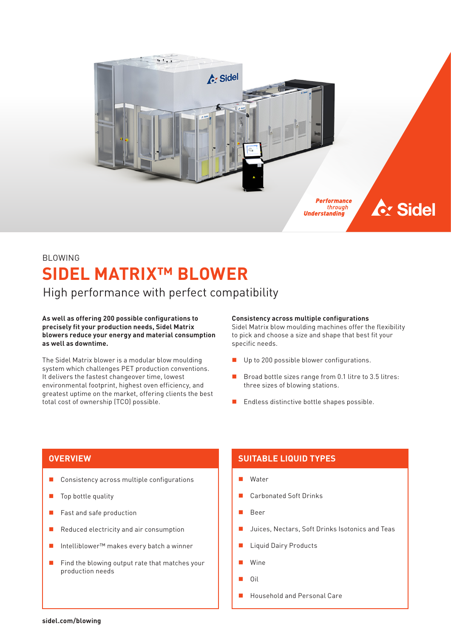

# BLOWING **SIDEL MATRIX™ BLOWER**

High performance with perfect compatibility

**As well as offering 200 possible configurations to precisely fit your production needs, Sidel Matrix blowers reduce your energy and material consumption as well as downtime.**

The Sidel Matrix blower is a modular blow moulding system which challenges PET production conventions. It delivers the fastest changeover time, lowest environmental footprint, highest oven efficiency, and greatest uptime on the market, offering clients the best total cost of ownership (TCO) possible.

### **Consistency across multiple configurations**

Sidel Matrix blow moulding machines offer the flexibility to pick and choose a size and shape that best fit your specific needs.

- Up to 200 possible blower configurations.
- Broad bottle sizes range from 0.1 litre to 3.5 litres: three sizes of blowing stations.
- **Endless distinctive bottle shapes possible.**

- Consistency across multiple configurations
- **Top bottle quality**
- Fast and safe production
- Reduced electricity and air consumption
- Intelliblower™ makes every batch a winner
- $\blacksquare$  Find the blowing output rate that matches your production needs

## **OVERVIEW SUITABLE LIQUID TYPES**

- Water
- Carbonated Soft Drinks
- Beer
- Juices, Nectars, Soft Drinks Isotonics and Teas
- Liquid Dairy Products
- Wine
- Oil
- Household and Personal Care